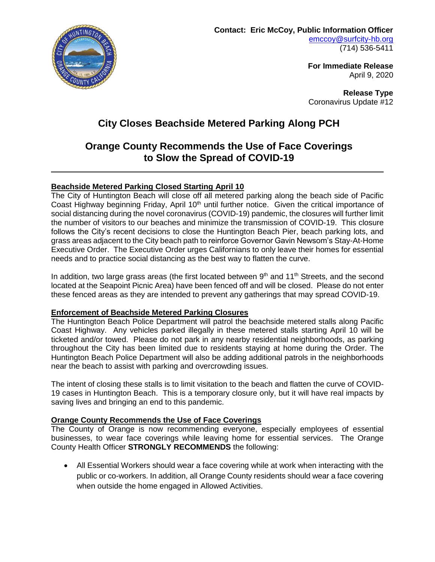

**For Immediate Release** April 9, 2020

**Release Type** Coronavirus Update #12

# **City Closes Beachside Metered Parking Along PCH**

# **Orange County Recommends the Use of Face Coverings to Slow the Spread of COVID-19**

## **Beachside Metered Parking Closed Starting April 10**

The City of Huntington Beach will close off all metered parking along the beach side of Pacific Coast Highway beginning Friday, April 10<sup>th</sup> until further notice. Given the critical importance of social distancing during the novel coronavirus (COVID-19) pandemic, the closures will further limit the number of visitors to our beaches and minimize the transmission of COVID-19. This closure follows the City's recent decisions to close the Huntington Beach Pier, beach parking lots, and grass areas adjacent to the City beach path to reinforce Governor Gavin Newsom's Stay-At-Home Executive Order. The Executive Order urges Californians to only leave their homes for essential needs and to practice social distancing as the best way to flatten the curve.

In addition, two large grass areas (the first located between  $9<sup>th</sup>$  and  $11<sup>th</sup>$  Streets, and the second located at the Seapoint Picnic Area) have been fenced off and will be closed. Please do not enter these fenced areas as they are intended to prevent any gatherings that may spread COVID-19.

### **Enforcement of Beachside Metered Parking Closures**

The Huntington Beach Police Department will patrol the beachside metered stalls along Pacific Coast Highway. Any vehicles parked illegally in these metered stalls starting April 10 will be ticketed and/or towed. Please do not park in any nearby residential neighborhoods, as parking throughout the City has been limited due to residents staying at home during the Order. The Huntington Beach Police Department will also be adding additional patrols in the neighborhoods near the beach to assist with parking and overcrowding issues.

The intent of closing these stalls is to limit visitation to the beach and flatten the curve of COVID-19 cases in Huntington Beach. This is a temporary closure only, but it will have real impacts by saving lives and bringing an end to this pandemic.

### **Orange County Recommends the Use of Face Coverings**

The County of Orange is now recommending everyone, especially employees of essential businesses, to wear face coverings while leaving home for essential services. The Orange County Health Officer **STRONGLY RECOMMENDS** the following:

 All Essential Workers should wear a face covering while at work when interacting with the public or co-workers. In addition, all Orange County residents should wear a face covering when outside the home engaged in Allowed Activities.